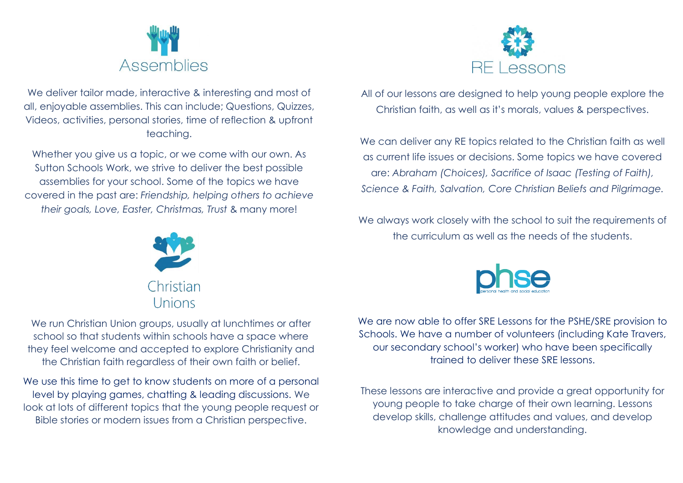

We deliver tailor made, interactive & interesting and most of all, enjoyable assemblies. This can include; Questions, Quizzes, Videos, activities, personal stories, time of reflection & upfront teaching.

Whether you give us a topic, or we come with our own. As Sutton Schools Work, we strive to deliver the best possible assemblies for your school. Some of the topics we have covered in the past are: *Friendship, helping others to achieve their goals, Love, Easter, Christmas, Trust* & many more!



All of our lessons are designed to help young people explore the Christian faith, as well as it's morals, values & perspectives.

We can deliver any RE topics related to the Christian faith as well as current life issues or decisions. Some topics we have covered are: *Abraham (Choices), Sacrifice of Isaac (Testing of Faith), Science & Faith, Salvation, Core Christian Beliefs and Pilgrimage.*

We always work closely with the school to suit the requirements of the curriculum as well as the needs of the students.



We run Christian Union groups, usually at lunchtimes or after school so that students within schools have a space where they feel welcome and accepted to explore Christianity and the Christian faith regardless of their own faith or belief.

We use this time to get to know students on more of a personal level by playing games, chatting & leading discussions. We look at lots of different topics that the young people request or Bible stories or modern issues from a Christian perspective.



We are now able to offer SRE Lessons for the PSHE/SRE provision to Schools. We have a number of volunteers (including Kate Travers, our secondary school's worker) who have been specifically trained to deliver these SRE lessons.

These lessons are interactive and provide a great opportunity for young people to take charge of their own learning. Lessons develop skills, challenge attitudes and values, and develop knowledge and understanding.